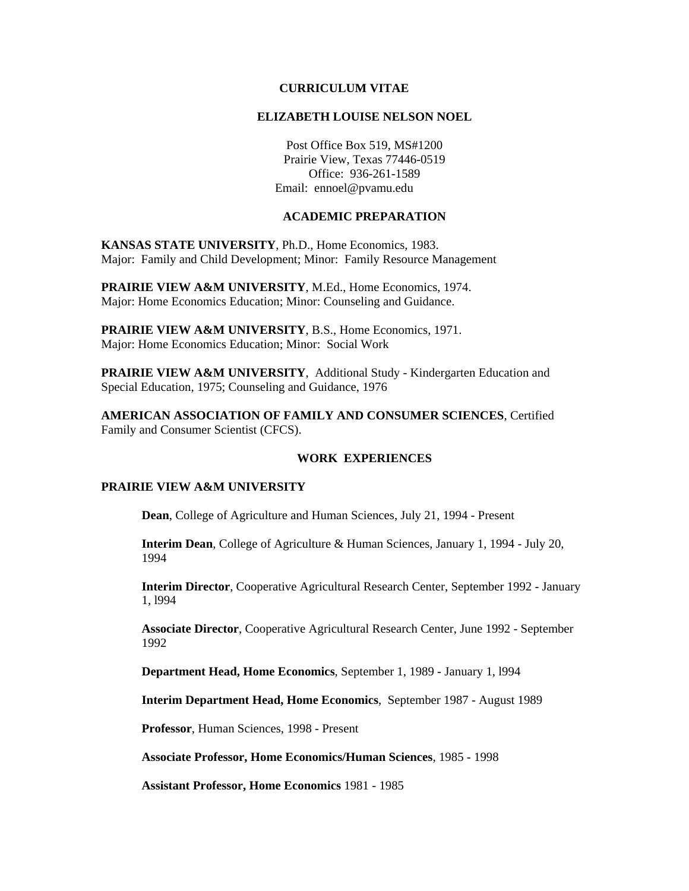#### **CURRICULUM VITAE**

#### **ELIZABETH LOUISE NELSON NOEL**

Post Office Box 519, MS#1200 Prairie View, Texas 77446-0519 Office: 936-261-1589 Email: ennoel@pvamu.edu

### **ACADEMIC PREPARATION**

**KANSAS STATE UNIVERSITY**, Ph.D., Home Economics, 1983. Major: Family and Child Development; Minor: Family Resource Management

**PRAIRIE VIEW A&M UNIVERSITY**, M.Ed., Home Economics, 1974. Major: Home Economics Education; Minor: Counseling and Guidance.

**PRAIRIE VIEW A&M UNIVERSITY**, B.S., Home Economics, 1971. Major: Home Economics Education; Minor: Social Work

**PRAIRIE VIEW A&M UNIVERSITY**, Additional Study - Kindergarten Education and Special Education, 1975; Counseling and Guidance, 1976

**AMERICAN ASSOCIATION OF FAMILY AND CONSUMER SCIENCES**, Certified Family and Consumer Scientist (CFCS).

### **WORK EXPERIENCES**

#### **PRAIRIE VIEW A&M UNIVERSITY**

**Dean**, College of Agriculture and Human Sciences, July 21, 1994 - Present

**Interim Dean**, College of Agriculture & Human Sciences, January 1, 1994 - July 20, 1994

**Interim Director**, Cooperative Agricultural Research Center, September 1992 - January 1, l994

**Associate Director**, Cooperative Agricultural Research Center, June 1992 - September 1992

**Department Head, Home Economics**, September 1, 1989 - January 1, l994

**Interim Department Head, Home Economics**, September 1987 - August 1989

**Professor**, Human Sciences, 1998 - Present

**Associate Professor, Home Economics/Human Sciences**, 1985 - 1998

**Assistant Professor, Home Economics** 1981 - 1985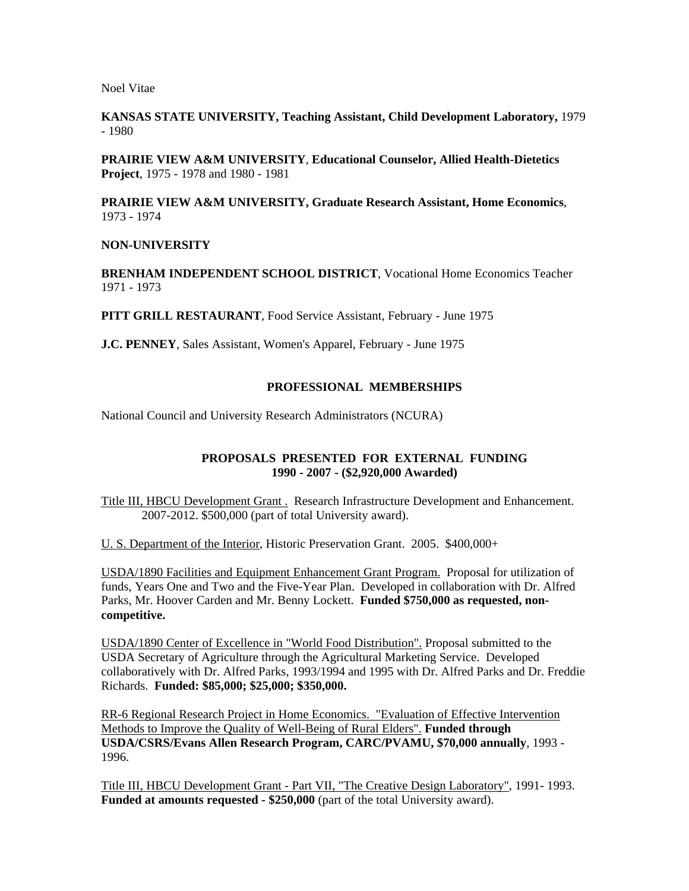**KANSAS STATE UNIVERSITY, Teaching Assistant, Child Development Laboratory,** 1979 - 1980

**PRAIRIE VIEW A&M UNIVERSITY**, **Educational Counselor, Allied Health-Dietetics Project**, 1975 - 1978 and 1980 - 1981

**PRAIRIE VIEW A&M UNIVERSITY, Graduate Research Assistant, Home Economics**, 1973 - 1974

#### **NON-UNIVERSITY**

**BRENHAM INDEPENDENT SCHOOL DISTRICT**, Vocational Home Economics Teacher 1971 - 1973

**PITT GRILL RESTAURANT**, Food Service Assistant, February - June 1975

**J.C. PENNEY**, Sales Assistant, Women's Apparel, February - June 1975

#### **PROFESSIONAL MEMBERSHIPS**

National Council and University Research Administrators (NCURA)

### **PROPOSALS PRESENTED FOR EXTERNAL FUNDING 1990 - 2007 - (\$2,920,000 Awarded)**

Title III, HBCU Development Grant . Research Infrastructure Development and Enhancement. 2007-2012. \$500,000 (part of total University award).

U. S. Department of the Interior, Historic Preservation Grant. 2005. \$400,000+

USDA/1890 Facilities and Equipment Enhancement Grant Program. Proposal for utilization of funds, Years One and Two and the Five-Year Plan. Developed in collaboration with Dr. Alfred Parks, Mr. Hoover Carden and Mr. Benny Lockett. **Funded \$750,000 as requested, noncompetitive.**

USDA/1890 Center of Excellence in "World Food Distribution". Proposal submitted to the USDA Secretary of Agriculture through the Agricultural Marketing Service. Developed collaboratively with Dr. Alfred Parks, 1993/1994 and 1995 with Dr. Alfred Parks and Dr. Freddie Richards. **Funded: \$85,000; \$25,000; \$350,000.**

RR-6 Regional Research Project in Home Economics. "Evaluation of Effective Intervention Methods to Improve the Quality of Well-Being of Rural Elders". **Funded through USDA/CSRS/Evans Allen Research Program, CARC/PVAMU, \$70,000 annually**, 1993 - 1996.

Title III, HBCU Development Grant - Part VII, "The Creative Design Laboratory", 1991- 1993. **Funded at amounts requested - \$250,000** (part of the total University award).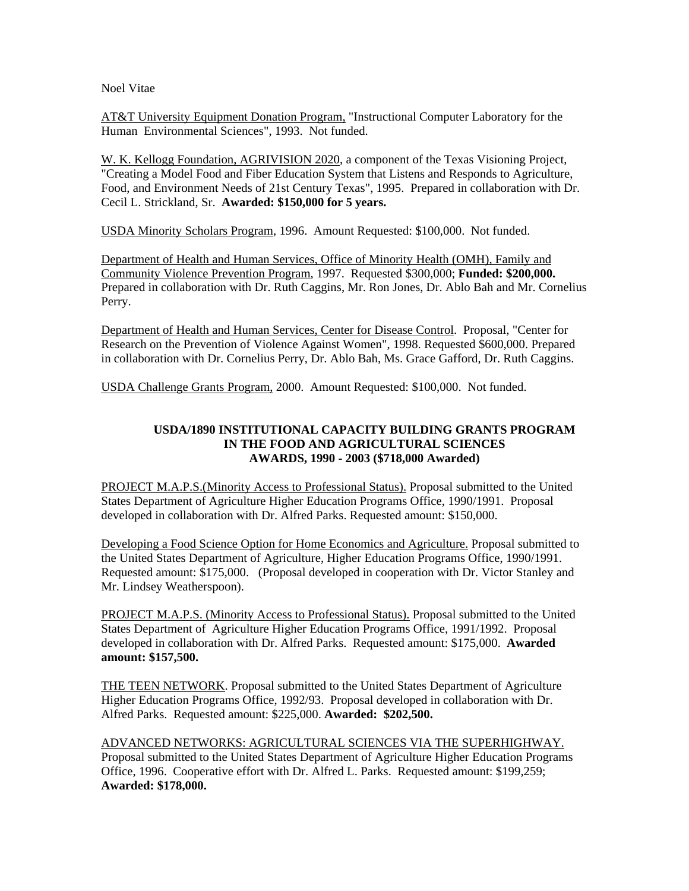AT&T University Equipment Donation Program, "Instructional Computer Laboratory for the Human Environmental Sciences", 1993. Not funded.

W. K. Kellogg Foundation, AGRIVISION 2020, a component of the Texas Visioning Project, "Creating a Model Food and Fiber Education System that Listens and Responds to Agriculture, Food, and Environment Needs of 21st Century Texas", 1995. Prepared in collaboration with Dr. Cecil L. Strickland, Sr. **Awarded: \$150,000 for 5 years.**

USDA Minority Scholars Program, 1996. Amount Requested: \$100,000. Not funded.

Department of Health and Human Services, Office of Minority Health (OMH), Family and Community Violence Prevention Program, 1997. Requested \$300,000; **Funded: \$200,000.** Prepared in collaboration with Dr. Ruth Caggins, Mr. Ron Jones, Dr. Ablo Bah and Mr. Cornelius Perry.

Department of Health and Human Services, Center for Disease Control. Proposal, "Center for Research on the Prevention of Violence Against Women", 1998. Requested \$600,000. Prepared in collaboration with Dr. Cornelius Perry, Dr. Ablo Bah, Ms. Grace Gafford, Dr. Ruth Caggins.

USDA Challenge Grants Program, 2000. Amount Requested: \$100,000. Not funded.

### **USDA/1890 INSTITUTIONAL CAPACITY BUILDING GRANTS PROGRAM IN THE FOOD AND AGRICULTURAL SCIENCES AWARDS, 1990 - 2003 (\$718,000 Awarded)**

PROJECT M.A.P.S.(Minority Access to Professional Status). Proposal submitted to the United States Department of Agriculture Higher Education Programs Office, 1990/1991. Proposal developed in collaboration with Dr. Alfred Parks. Requested amount: \$150,000.

Developing a Food Science Option for Home Economics and Agriculture. Proposal submitted to the United States Department of Agriculture, Higher Education Programs Office, 1990/1991. Requested amount: \$175,000. (Proposal developed in cooperation with Dr. Victor Stanley and Mr. Lindsey Weatherspoon).

PROJECT M.A.P.S. (Minority Access to Professional Status). Proposal submitted to the United States Department of Agriculture Higher Education Programs Office, 1991/1992. Proposal developed in collaboration with Dr. Alfred Parks. Requested amount: \$175,000. **Awarded amount: \$157,500.**

THE TEEN NETWORK. Proposal submitted to the United States Department of Agriculture Higher Education Programs Office, 1992/93. Proposal developed in collaboration with Dr. Alfred Parks. Requested amount: \$225,000. **Awarded: \$202,500.** 

# ADVANCED NETWORKS: AGRICULTURAL SCIENCES VIA THE SUPERHIGHWAY.

Proposal submitted to the United States Department of Agriculture Higher Education Programs Office, 1996. Cooperative effort with Dr. Alfred L. Parks. Requested amount: \$199,259; **Awarded: \$178,000.**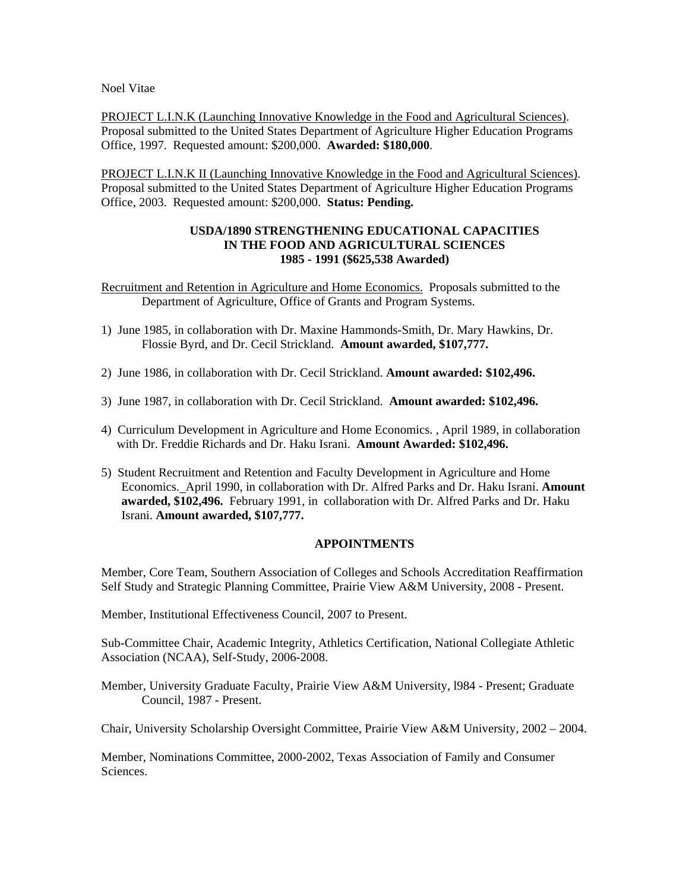PROJECT L.I.N.K (Launching Innovative Knowledge in the Food and Agricultural Sciences). Proposal submitted to the United States Department of Agriculture Higher Education Programs Office, 1997. Requested amount: \$200,000. **Awarded: \$180,000**.

PROJECT L.I.N.K II (Launching Innovative Knowledge in the Food and Agricultural Sciences). Proposal submitted to the United States Department of Agriculture Higher Education Programs Office, 2003. Requested amount: \$200,000. **Status: Pending.**

### **USDA/1890 STRENGTHENING EDUCATIONAL CAPACITIES IN THE FOOD AND AGRICULTURAL SCIENCES 1985 - 1991 (\$625,538 Awarded)**

Recruitment and Retention in Agriculture and Home Economics. Proposals submitted to the Department of Agriculture, Office of Grants and Program Systems.

- 1) June 1985, in collaboration with Dr. Maxine Hammonds-Smith, Dr. Mary Hawkins, Dr. Flossie Byrd, and Dr. Cecil Strickland. **Amount awarded, \$107,777.**
- 2) June 1986, in collaboration with Dr. Cecil Strickland. **Amount awarded: \$102,496.**
- 3) June 1987, in collaboration with Dr. Cecil Strickland. **Amount awarded: \$102,496.**
- 4) Curriculum Development in Agriculture and Home Economics. , April 1989, in collaboration with Dr. Freddie Richards and Dr. Haku Israni. **Amount Awarded: \$102,496.**
- 5) Student Recruitment and Retention and Faculty Development in Agriculture and Home Economics. April 1990, in collaboration with Dr. Alfred Parks and Dr. Haku Israni. **Amount awarded, \$102,496.** February 1991, in collaboration with Dr. Alfred Parks and Dr. Haku Israni. **Amount awarded, \$107,777.**

#### **APPOINTMENTS**

Member, Core Team, Southern Association of Colleges and Schools Accreditation Reaffirmation Self Study and Strategic Planning Committee, Prairie View A&M University, 2008 - Present.

Member, Institutional Effectiveness Council, 2007 to Present.

Sub-Committee Chair, Academic Integrity, Athletics Certification, National Collegiate Athletic Association (NCAA), Self-Study, 2006-2008.

Member, University Graduate Faculty, Prairie View A&M University, l984 - Present; Graduate Council, 1987 - Present.

Chair, University Scholarship Oversight Committee, Prairie View A&M University, 2002 – 2004.

Member, Nominations Committee, 2000-2002, Texas Association of Family and Consumer Sciences.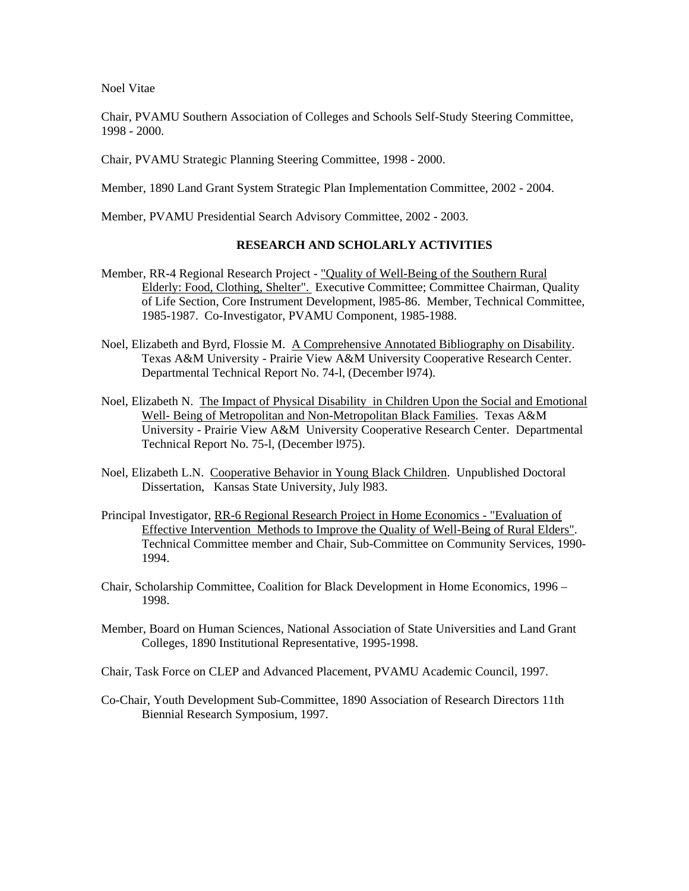Chair, PVAMU Southern Association of Colleges and Schools Self-Study Steering Committee, 1998 - 2000.

Chair, PVAMU Strategic Planning Steering Committee, 1998 - 2000.

Member, 1890 Land Grant System Strategic Plan Implementation Committee, 2002 - 2004.

Member, PVAMU Presidential Search Advisory Committee, 2002 - 2003.

### **RESEARCH AND SCHOLARLY ACTIVITIES**

- Member, RR-4 Regional Research Project "Quality of Well-Being of the Southern Rural Elderly: Food, Clothing, Shelter". Executive Committee; Committee Chairman, Quality of Life Section, Core Instrument Development, l985-86. Member, Technical Committee, 1985-1987. Co-Investigator, PVAMU Component, 1985-1988.
- Noel, Elizabeth and Byrd, Flossie M. A Comprehensive Annotated Bibliography on Disability. Texas A&M University - Prairie View A&M University Cooperative Research Center. Departmental Technical Report No. 74-l, (December l974).
- Noel, Elizabeth N. The Impact of Physical Disability in Children Upon the Social and Emotional Well- Being of Metropolitan and Non-Metropolitan Black Families. Texas A&M University - Prairie View A&M University Cooperative Research Center. Departmental Technical Report No. 75-l, (December l975).
- Noel, Elizabeth L.N. Cooperative Behavior in Young Black Children. Unpublished Doctoral Dissertation, Kansas State University, July l983.
- Principal Investigator, RR-6 Regional Research Project in Home Economics "Evaluation of Effective Intervention Methods to Improve the Quality of Well-Being of Rural Elders". Technical Committee member and Chair, Sub-Committee on Community Services, 1990- 1994.
- Chair, Scholarship Committee, Coalition for Black Development in Home Economics, 1996 1998.
- Member, Board on Human Sciences, National Association of State Universities and Land Grant Colleges, 1890 Institutional Representative, 1995-1998.
- Chair, Task Force on CLEP and Advanced Placement, PVAMU Academic Council, 1997.
- Co-Chair, Youth Development Sub-Committee, 1890 Association of Research Directors 11th Biennial Research Symposium, 1997.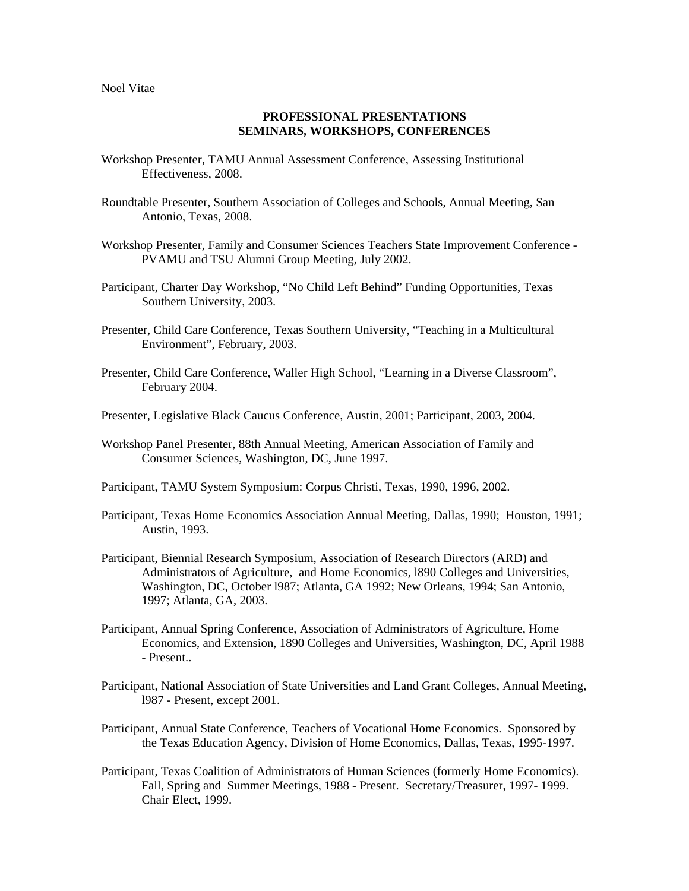### **PROFESSIONAL PRESENTATIONS SEMINARS, WORKSHOPS, CONFERENCES**

- Workshop Presenter, TAMU Annual Assessment Conference, Assessing Institutional Effectiveness, 2008.
- Roundtable Presenter, Southern Association of Colleges and Schools, Annual Meeting, San Antonio, Texas, 2008.
- Workshop Presenter, Family and Consumer Sciences Teachers State Improvement Conference PVAMU and TSU Alumni Group Meeting, July 2002.
- Participant, Charter Day Workshop, "No Child Left Behind" Funding Opportunities, Texas Southern University, 2003.
- Presenter, Child Care Conference, Texas Southern University, "Teaching in a Multicultural Environment", February, 2003.
- Presenter, Child Care Conference, Waller High School, "Learning in a Diverse Classroom", February 2004.
- Presenter, Legislative Black Caucus Conference, Austin, 2001; Participant, 2003, 2004.
- Workshop Panel Presenter, 88th Annual Meeting, American Association of Family and Consumer Sciences, Washington, DC, June 1997.
- Participant, TAMU System Symposium: Corpus Christi, Texas, 1990, 1996, 2002.
- Participant, Texas Home Economics Association Annual Meeting, Dallas, 1990; Houston, 1991; Austin, 1993.
- Participant, Biennial Research Symposium, Association of Research Directors (ARD) and Administrators of Agriculture, and Home Economics, l890 Colleges and Universities, Washington, DC, October l987; Atlanta, GA 1992; New Orleans, 1994; San Antonio, 1997; Atlanta, GA, 2003.
- Participant, Annual Spring Conference, Association of Administrators of Agriculture, Home Economics, and Extension, 1890 Colleges and Universities, Washington, DC, April 1988 - Present..
- Participant, National Association of State Universities and Land Grant Colleges, Annual Meeting, l987 - Present, except 2001.
- Participant, Annual State Conference, Teachers of Vocational Home Economics. Sponsored by the Texas Education Agency, Division of Home Economics, Dallas, Texas, 1995-1997.
- Participant, Texas Coalition of Administrators of Human Sciences (formerly Home Economics). Fall, Spring and Summer Meetings, 1988 - Present. Secretary/Treasurer, 1997- 1999. Chair Elect, 1999.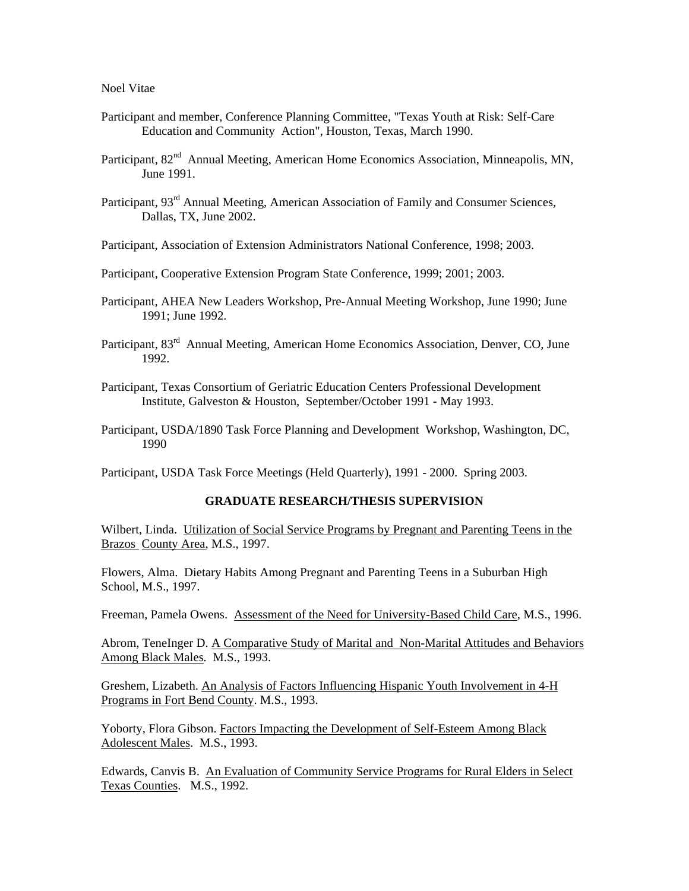- Participant and member, Conference Planning Committee, "Texas Youth at Risk: Self-Care Education and Community Action", Houston, Texas, March 1990.
- Participant, 82<sup>nd</sup> Annual Meeting, American Home Economics Association, Minneapolis, MN, June 1991.
- Participant, 93<sup>rd</sup> Annual Meeting, American Association of Family and Consumer Sciences, Dallas, TX, June 2002.
- Participant, Association of Extension Administrators National Conference, 1998; 2003.
- Participant, Cooperative Extension Program State Conference, 1999; 2001; 2003.
- Participant, AHEA New Leaders Workshop, Pre-Annual Meeting Workshop, June 1990; June 1991; June 1992.
- Participant, 83<sup>rd</sup> Annual Meeting, American Home Economics Association, Denver, CO, June 1992.
- Participant, Texas Consortium of Geriatric Education Centers Professional Development Institute, Galveston & Houston, September/October 1991 - May 1993.
- Participant, USDA/1890 Task Force Planning and Development Workshop, Washington, DC, 1990

Participant, USDA Task Force Meetings (Held Quarterly), 1991 - 2000. Spring 2003.

### **GRADUATE RESEARCH/THESIS SUPERVISION**

Wilbert, Linda. Utilization of Social Service Programs by Pregnant and Parenting Teens in the Brazos County Area, M.S., 1997.

Flowers, Alma. Dietary Habits Among Pregnant and Parenting Teens in a Suburban High School, M.S., 1997.

Freeman, Pamela Owens. Assessment of the Need for University-Based Child Care, M.S., 1996.

Abrom, TeneInger D. A Comparative Study of Marital and Non-Marital Attitudes and Behaviors Among Black Males. M.S., 1993.

Greshem, Lizabeth. An Analysis of Factors Influencing Hispanic Youth Involvement in 4-H Programs in Fort Bend County. M.S., 1993.

Yoborty, Flora Gibson. Factors Impacting the Development of Self-Esteem Among Black Adolescent Males. M.S., 1993.

Edwards, Canvis B. An Evaluation of Community Service Programs for Rural Elders in Select Texas Counties. M.S., 1992.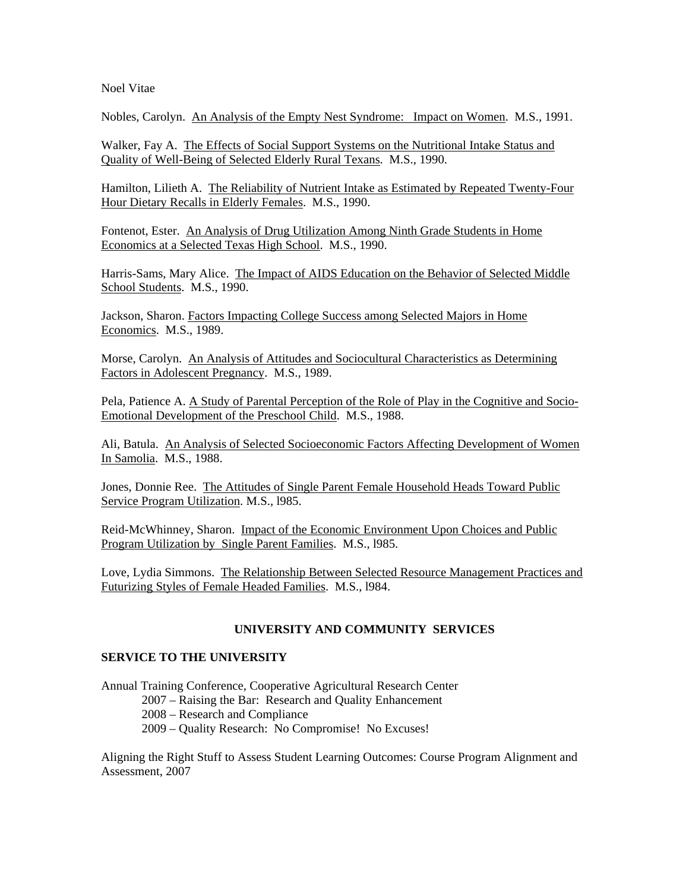Nobles, Carolyn. An Analysis of the Empty Nest Syndrome: Impact on Women. M.S., 1991.

Walker, Fay A. The Effects of Social Support Systems on the Nutritional Intake Status and Quality of Well-Being of Selected Elderly Rural Texans. M.S., 1990.

Hamilton, Lilieth A. The Reliability of Nutrient Intake as Estimated by Repeated Twenty-Four Hour Dietary Recalls in Elderly Females. M.S., 1990.

Fontenot, Ester. An Analysis of Drug Utilization Among Ninth Grade Students in Home Economics at a Selected Texas High School. M.S., 1990.

Harris-Sams, Mary Alice. The Impact of AIDS Education on the Behavior of Selected Middle School Students. M.S., 1990.

Jackson, Sharon. Factors Impacting College Success among Selected Majors in Home Economics. M.S., 1989.

Morse, Carolyn. An Analysis of Attitudes and Sociocultural Characteristics as Determining Factors in Adolescent Pregnancy. M.S., 1989.

Pela, Patience A. A Study of Parental Perception of the Role of Play in the Cognitive and Socio-Emotional Development of the Preschool Child. M.S., 1988.

Ali, Batula. An Analysis of Selected Socioeconomic Factors Affecting Development of Women In Samolia. M.S., 1988.

Jones, Donnie Ree. The Attitudes of Single Parent Female Household Heads Toward Public Service Program Utilization. M.S., l985.

Reid-McWhinney, Sharon. Impact of the Economic Environment Upon Choices and Public Program Utilization by Single Parent Families. M.S., l985.

Love, Lydia Simmons. The Relationship Between Selected Resource Management Practices and Futurizing Styles of Female Headed Families. M.S., l984.

### **UNIVERSITY AND COMMUNITY SERVICES**

### **SERVICE TO THE UNIVERSITY**

Annual Training Conference, Cooperative Agricultural Research Center 2007 – Raising the Bar: Research and Quality Enhancement 2008 – Research and Compliance 2009 – Quality Research: No Compromise! No Excuses!

Aligning the Right Stuff to Assess Student Learning Outcomes: Course Program Alignment and Assessment, 2007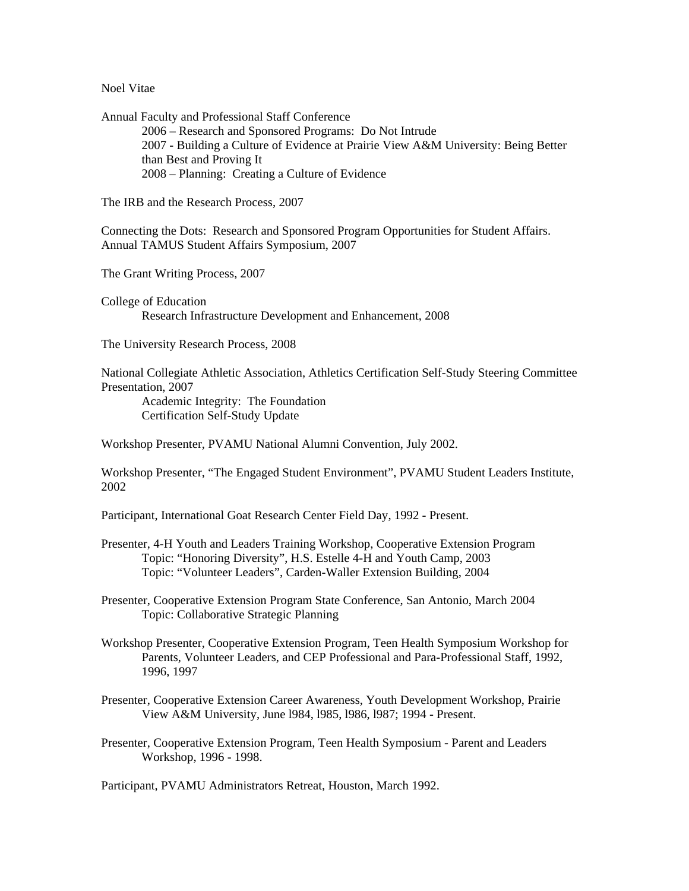Annual Faculty and Professional Staff Conference 2006 – Research and Sponsored Programs: Do Not Intrude 2007 - Building a Culture of Evidence at Prairie View A&M University: Being Better than Best and Proving It 2008 – Planning: Creating a Culture of Evidence

The IRB and the Research Process, 2007

Connecting the Dots: Research and Sponsored Program Opportunities for Student Affairs. Annual TAMUS Student Affairs Symposium, 2007

The Grant Writing Process, 2007

College of Education Research Infrastructure Development and Enhancement, 2008

The University Research Process, 2008

National Collegiate Athletic Association, Athletics Certification Self-Study Steering Committee Presentation, 2007

 Academic Integrity: The Foundation Certification Self-Study Update

Workshop Presenter, PVAMU National Alumni Convention, July 2002.

Workshop Presenter, "The Engaged Student Environment", PVAMU Student Leaders Institute, 2002

Participant, International Goat Research Center Field Day, 1992 - Present.

Presenter, 4-H Youth and Leaders Training Workshop, Cooperative Extension Program Topic: "Honoring Diversity", H.S. Estelle 4-H and Youth Camp, 2003 Topic: "Volunteer Leaders", Carden-Waller Extension Building, 2004

Presenter, Cooperative Extension Program State Conference, San Antonio, March 2004 Topic: Collaborative Strategic Planning

- Workshop Presenter, Cooperative Extension Program, Teen Health Symposium Workshop for Parents, Volunteer Leaders, and CEP Professional and Para-Professional Staff, 1992, 1996, 1997
- Presenter, Cooperative Extension Career Awareness, Youth Development Workshop, Prairie View A&M University, June l984, l985, l986, l987; 1994 - Present.
- Presenter, Cooperative Extension Program, Teen Health Symposium Parent and Leaders Workshop, 1996 - 1998.

Participant, PVAMU Administrators Retreat, Houston, March 1992.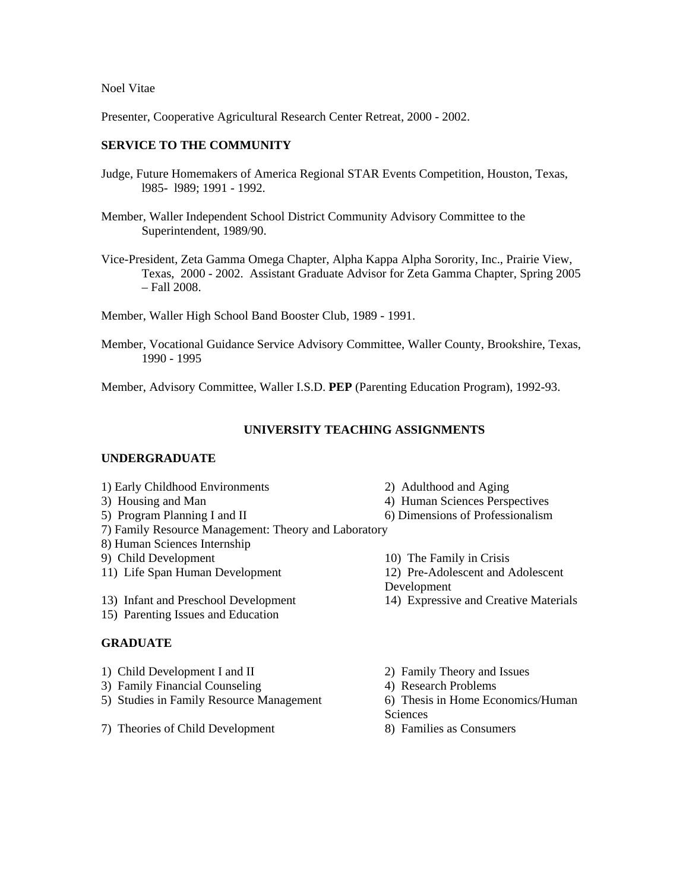Presenter, Cooperative Agricultural Research Center Retreat, 2000 - 2002.

# **SERVICE TO THE COMMUNITY**

- Judge, Future Homemakers of America Regional STAR Events Competition, Houston, Texas, l985- l989; 1991 - 1992.
- Member, Waller Independent School District Community Advisory Committee to the Superintendent, 1989/90.
- Vice-President, Zeta Gamma Omega Chapter, Alpha Kappa Alpha Sorority, Inc., Prairie View, Texas, 2000 - 2002. Assistant Graduate Advisor for Zeta Gamma Chapter, Spring 2005 – Fall 2008.
- Member, Waller High School Band Booster Club, 1989 1991.
- Member, Vocational Guidance Service Advisory Committee, Waller County, Brookshire, Texas, 1990 - 1995

Member, Advisory Committee, Waller I.S.D. **PEP** (Parenting Education Program), 1992-93.

# **UNIVERSITY TEACHING ASSIGNMENTS**

### **UNDERGRADUATE**

- 1) Early Childhood Environments 2) Adulthood and Aging
- 
- 
- 7) Family Resource Management: Theory and Laboratory
- 8) Human Sciences Internship
- 9) Child Development 10) The Family in Crisis
- 
- 13) Infant and Preschool Development 14) Expressive and Creative Materials
- 15) Parenting Issues and Education

### **GRADUATE**

- 1) Child Development I and II 2) Family Theory and Issues
- 3) Family Financial Counseling 4) Research Problems
- 5) Studies in Family Resource Management 6) Thesis in Home Economics/Human
- 7) Theories of Child Development 8) Families as Consumers
- 
- 3) Housing and Man 4) Human Sciences Perspectives
- 5) Program Planning I and II 6) Dimensions of Professionalism
	-
- 11) Life Span Human Development 12) Pre-Adolescent and Adolescent
	- Development
	-
	-
	-
	- **Sciences**
	-